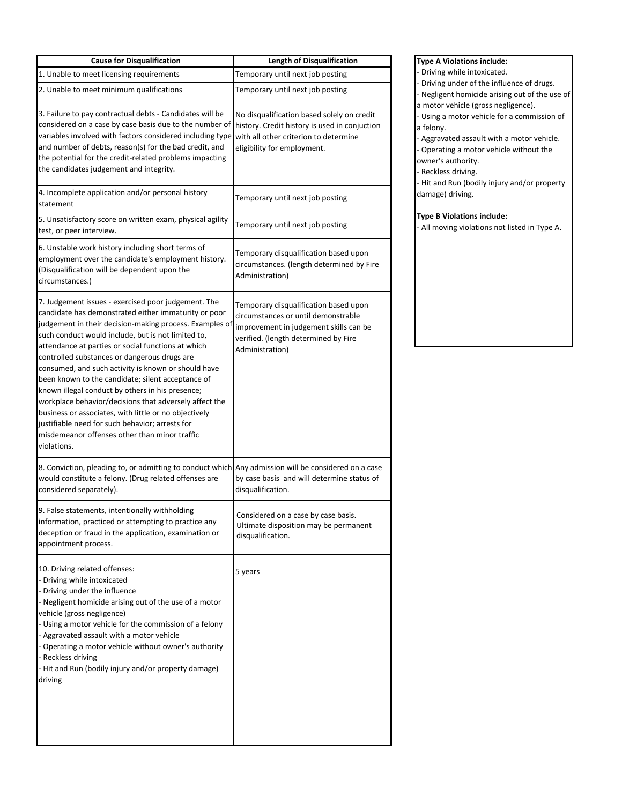| <b>Cause for Disqualification</b>                                                                                                                                                                                                                                                                                                                                                                                                                                                                                                                                                                                                                                                                                                        | <b>Length of Disqualification</b>                                                                                                                                                 |
|------------------------------------------------------------------------------------------------------------------------------------------------------------------------------------------------------------------------------------------------------------------------------------------------------------------------------------------------------------------------------------------------------------------------------------------------------------------------------------------------------------------------------------------------------------------------------------------------------------------------------------------------------------------------------------------------------------------------------------------|-----------------------------------------------------------------------------------------------------------------------------------------------------------------------------------|
| 1. Unable to meet licensing requirements                                                                                                                                                                                                                                                                                                                                                                                                                                                                                                                                                                                                                                                                                                 | Temporary until next job posting                                                                                                                                                  |
| 2. Unable to meet minimum qualifications                                                                                                                                                                                                                                                                                                                                                                                                                                                                                                                                                                                                                                                                                                 | Temporary until next job posting                                                                                                                                                  |
| 3. Failure to pay contractual debts - Candidates will be<br>considered on a case by case basis due to the number of<br>variables involved with factors considered including type<br>and number of debts, reason(s) for the bad credit, and<br>the potential for the credit-related problems impacting<br>the candidates judgement and integrity.                                                                                                                                                                                                                                                                                                                                                                                         | No disqualification based solely on credit<br>history. Credit history is used in conjuction<br>with all other criterion to determine<br>eligibility for employment.               |
| 4. Incomplete application and/or personal history<br>statement                                                                                                                                                                                                                                                                                                                                                                                                                                                                                                                                                                                                                                                                           | Temporary until next job posting                                                                                                                                                  |
| 5. Unsatisfactory score on written exam, physical agility<br>test, or peer interview.                                                                                                                                                                                                                                                                                                                                                                                                                                                                                                                                                                                                                                                    | Temporary until next job posting                                                                                                                                                  |
| 6. Unstable work history including short terms of<br>employment over the candidate's employment history.<br>(Disqualification will be dependent upon the<br>circumstances.)                                                                                                                                                                                                                                                                                                                                                                                                                                                                                                                                                              | Temporary disqualification based upon<br>circumstances. (length determined by Fire<br>Administration)                                                                             |
| 7. Judgement issues - exercised poor judgement. The<br>candidate has demonstrated either immaturity or poor<br>judgement in their decision-making process. Examples of<br>such conduct would include, but is not limited to,<br>attendance at parties or social functions at which<br>controlled substances or dangerous drugs are<br>consumed, and such activity is known or should have<br>been known to the candidate; silent acceptance of<br>known illegal conduct by others in his presence;<br>workplace behavior/decisions that adversely affect the<br>business or associates, with little or no objectively<br>justifiable need for such behavior; arrests for<br>misdemeanor offenses other than minor traffic<br>violations. | Temporary disqualification based upon<br>circumstances or until demonstrable<br>improvement in judgement skills can be<br>verified. (length determined by Fire<br>Administration) |
| 8. Conviction, pleading to, or admitting to conduct which Any admission will be considered on a case<br>would constitute a felony. (Drug related offenses are<br>considered separately).                                                                                                                                                                                                                                                                                                                                                                                                                                                                                                                                                 | by case basis and will determine status of<br>disqualification.                                                                                                                   |
| 9. False statements, intentionally withholding<br>information, practiced or attempting to practice any<br>deception or fraud in the application, examination or<br>appointment process.                                                                                                                                                                                                                                                                                                                                                                                                                                                                                                                                                  | Considered on a case by case basis.<br>Ultimate disposition may be permanent<br>disqualification.                                                                                 |
| 10. Driving related offenses:<br>- Driving while intoxicated<br>- Driving under the influence<br>- Negligent homicide arising out of the use of a motor<br>vehicle (gross negligence)<br>- Using a motor vehicle for the commission of a felony<br>- Aggravated assault with a motor vehicle<br>- Operating a motor vehicle without owner's authority<br>- Reckless driving<br>- Hit and Run (bodily injury and/or property damage)<br>driving                                                                                                                                                                                                                                                                                           | 5 years                                                                                                                                                                           |

**Type A Violations include:** - Driving while intoxicated. - Driving under of the influence of drugs. - Negligent homicide arising out of the use of a motor vehicle (gross negligence). - Using a motor vehicle for a commission of a felony. - Aggravated assault with a motor vehicle. - Operating a motor vehicle without the owner's authority. - Reckless driving. - Hit and Run (bodily injury and/or property damage) driving.

## **Type B Violations include:**

- All moving violations not listed in Type A.